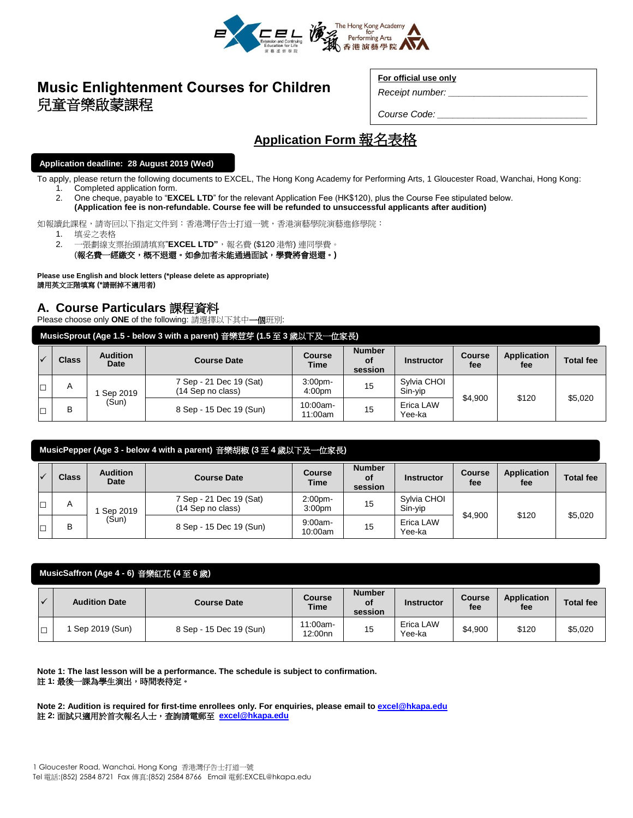

# **Music Enlightenment Courses for Children**  兒童音樂啟蒙課程

**For official use only** 

*Receipt number: \_\_\_\_\_\_\_\_\_\_\_\_\_\_\_\_\_\_\_\_\_\_\_\_\_\_\_*

Course Code:

## **Application Form** 報名表格

**Application deadline: 28 August 2019 (Wed)**

To apply, please return the following documents to EXCEL, The Hong Kong Academy for Performing Arts, 1 Gloucester Road, Wanchai, Hong Kong:

1. Completed application form.<br>2. One cheque, payable to "EX 2. One cheque, payable to "**EXCEL LTD**" for the relevant Application Fee (HK\$120), plus the Course Fee stipulated below. **(Application fee is non-refundable. Course fee will be refunded to unsuccessful applicants after audition)**

如報讀此課程,請寄回以下指定文件到:香港灣仔告士打道一號,香港演藝學院演藝進修學院:

- 1. 填妥之表格
- 2. 一張劃線支票抬頭請填寫"**EXCEL LTD"**,報名費 (\$120 港幣) 連同學費。
	- (報名費一經繳交,概不退還。如參加者未能通過面試,學費將會退還。**)**

**Please use English and block letters (\*please delete as appropriate)** 請用英文正階填寫 **(\***請刪掉不適用者**)**

### **A. Course Particulars** 課程資料

Please choose only **ONE** of the following: 請選擇以下其中一個班別:

**MusicSprout (Age 1.5 - below 3 with a parent)** 音樂荳芽 **(1.5** 至 **3** 歲以下及一位家長**)**

|        |        | <b>Class</b> | <b>Audition</b><br>Date | <b>Course Date</b>                           | <b>Course</b><br>Time  | <b>Number</b><br><b>of</b><br>session | <b>Instructor</b>      | <b>Course</b><br>fee | <b>Application</b><br>fee | <b>Total fee</b> |
|--------|--------|--------------|-------------------------|----------------------------------------------|------------------------|---------------------------------------|------------------------|----------------------|---------------------------|------------------|
| $\Box$ |        | A            | Sep 2019<br>(Sun)       | 7 Sep - 21 Dec 19 (Sat)<br>(14 Sep no class) | $3:00$ pm-<br>4:00pm   | 15                                    | Svlvia CHOI<br>Sin-yip | \$4,900              | \$120                     | \$5,020          |
|        | $\Box$ | B            |                         | 8 Sep - 15 Dec 19 (Sun)                      | $10:00am -$<br>11:00am | 15                                    | Erica LAW<br>Yee-ka    |                      |                           |                  |

| MusicPepper (Age 3 - below 4 with a parent) 音樂胡椒 (3至4歲以下及一位家長) |                                                               |                   |                                              |                                  |                   |                        |                           |                  |         |
|----------------------------------------------------------------|---------------------------------------------------------------|-------------------|----------------------------------------------|----------------------------------|-------------------|------------------------|---------------------------|------------------|---------|
|                                                                | <b>Audition</b><br><b>Class</b><br><b>Course Date</b><br>Date |                   | <b>Course</b><br><b>Time</b>                 | <b>Number</b><br>οf<br>session   | <b>Instructor</b> | <b>Course</b><br>fee   | <b>Application</b><br>fee | <b>Total fee</b> |         |
| $\Box$                                                         | A                                                             | Sep 2019<br>(Sun) | 7 Sep - 21 Dec 19 (Sat)<br>(14 Sep no class) | $2:00$ pm-<br>3:00 <sub>pm</sub> | 15                | Sylvia CHOI<br>Sin-yip | \$4.900                   | \$120            |         |
| $\Box$                                                         | B                                                             |                   | 8 Sep - 15 Dec 19 (Sun)                      | $9:00$ am-<br>10:00am            | 15                | Erica LAW<br>Yee-ka    |                           |                  | \$5,020 |

| MusicSaffron (Age 4 - 6) 音樂紅花 (4至6歲) |                                            |                         |                              |                                |                     |                      |                           |                  |  |
|--------------------------------------|--------------------------------------------|-------------------------|------------------------------|--------------------------------|---------------------|----------------------|---------------------------|------------------|--|
| $\overline{\vee}$                    | <b>Audition Date</b><br><b>Course Date</b> |                         | <b>Course</b><br><b>Time</b> | <b>Number</b><br>οf<br>session | <b>Instructor</b>   | <b>Course</b><br>fee | <b>Application</b><br>fee | <b>Total fee</b> |  |
| $\Box$                               | Sep 2019 (Sun)                             | 8 Sep - 15 Dec 19 (Sun) | $11:00$ am-<br>12:00nn       | 15                             | Erica LAW<br>Yee-ka | \$4,900              | \$120                     | \$5,020          |  |

**Note 1: The last lesson will be a performance. The schedule is subject to confirmation.** 註 **1:** 最後一課為學生演出,時間表待定。

**Note 2: Audition is required for first-time enrollees only. For enquiries, please email t[o excel@hkapa.edu](mailto:excel@hkapa.edu)** 註 **2:** 面試只適用於首次報名人士,查詢請電郵至 **[excel@hkapa.edu](mailto:excel@hkapa.edu)**